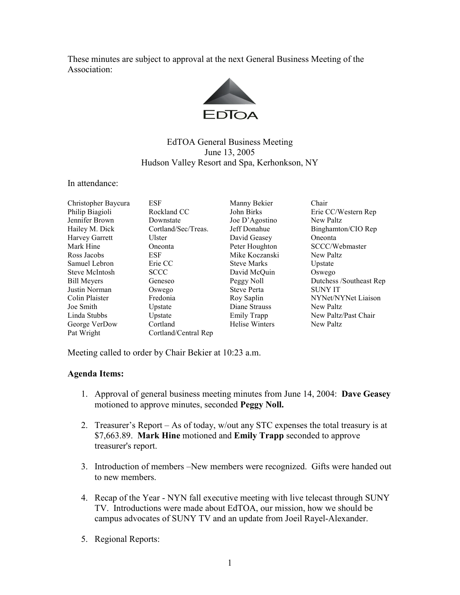These minutes are subject to approval at the next General Business Meeting of the Association:



## EdTOA General Business Meeting June 13, 2005 Hudson Valley Resort and Spa, Kerhonkson, NY

In attendance:

| Christopher Baycura   | <b>ESF</b>           | Manny Bekier          | Chair                   |
|-----------------------|----------------------|-----------------------|-------------------------|
| Philip Biagioli       | Rockland CC          | John Birks            | Erie CC/Western Rep     |
| Jennifer Brown        | Downstate            | Joe D'Agostino        | New Paltz               |
| Hailey M. Dick        | Cortland/Sec/Treas.  | Jeff Donahue          | Binghamton/CIO Rep      |
| <b>Harvey Garrett</b> | Ulster               | David Geasey          | Oneonta                 |
| Mark Hine             | Oneonta              | Peter Houghton        | SCCC/Webmaster          |
| Ross Jacobs           | <b>ESF</b>           | Mike Koczanski        | New Paltz               |
| Samuel Lebron         | Erie CC              | <b>Steve Marks</b>    | Upstate                 |
| <b>Steve McIntosh</b> | <b>SCCC</b>          | David McQuin          | Oswego                  |
| <b>Bill Meyers</b>    | Geneseo              | Peggy Noll            | Dutchess /Southeast Rep |
| Justin Norman         | Oswego               | <b>Steve Perta</b>    | <b>SUNY IT</b>          |
| Colin Plaister        | Fredonia             | Roy Saplin            | NYNet/NYNet Liaison     |
| Joe Smith             | Upstate              | Diane Strauss         | New Paltz               |
| Linda Stubbs          | Upstate              | Emily Trapp           | New Paltz/Past Chair    |
| George VerDow         | Cortland             | <b>Helise Winters</b> | New Paltz               |
| Pat Wright            | Cortland/Central Rep |                       |                         |

Meeting called to order by Chair Bekier at 10:23 a.m.

## Agenda Items:

- 1. Approval of general business meeting minutes from June 14, 2004: Dave Geasey motioned to approve minutes, seconded Peggy Noll.
- 2. Treasurer's Report As of today, w/out any STC expenses the total treasury is at \$7,663.89. Mark Hine motioned and Emily Trapp seconded to approve treasurer's report.
- 3. Introduction of members –New members were recognized. Gifts were handed out to new members.
- 4. Recap of the Year NYN fall executive meeting with live telecast through SUNY TV. Introductions were made about EdTOA, our mission, how we should be campus advocates of SUNY TV and an update from Joeil Rayel-Alexander.
- 5. Regional Reports: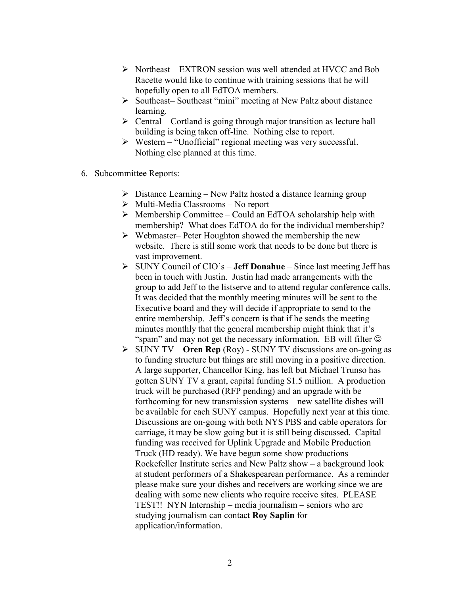- $\triangleright$  Northeast EXTRON session was well attended at HVCC and Bob Racette would like to continue with training sessions that he will hopefully open to all EdTOA members.
- Southeast– Southeast "mini" meeting at New Paltz about distance learning.
- $\triangleright$  Central Cortland is going through major transition as lecture hall building is being taken off-line. Nothing else to report.
- $\triangleright$  Western "Unofficial" regional meeting was very successful. Nothing else planned at this time.
- 6. Subcommittee Reports:
	- $\triangleright$  Distance Learning New Paltz hosted a distance learning group
	- $\triangleright$  Multi-Media Classrooms No report
	- $\triangleright$  Membership Committee Could an EdTOA scholarship help with membership? What does EdTOA do for the individual membership?
	- $\triangleright$  Webmaster– Peter Houghton showed the membership the new website. There is still some work that needs to be done but there is vast improvement.
	- $\triangleright$  SUNY Council of CIO's **Jeff Donahue** Since last meeting Jeff has been in touch with Justin. Justin had made arrangements with the group to add Jeff to the listserve and to attend regular conference calls. It was decided that the monthly meeting minutes will be sent to the Executive board and they will decide if appropriate to send to the entire membership. Jeff's concern is that if he sends the meeting minutes monthly that the general membership might think that it's "spam" and may not get the necessary information. EB will filter  $\odot$
	- $\triangleright$  SUNY TV Oren Rep (Roy) SUNY TV discussions are on-going as to funding structure but things are still moving in a positive direction. A large supporter, Chancellor King, has left but Michael Trunso has gotten SUNY TV a grant, capital funding \$1.5 million. A production truck will be purchased (RFP pending) and an upgrade with be forthcoming for new transmission systems – new satellite dishes will be available for each SUNY campus. Hopefully next year at this time. Discussions are on-going with both NYS PBS and cable operators for carriage, it may be slow going but it is still being discussed. Capital funding was received for Uplink Upgrade and Mobile Production Truck (HD ready). We have begun some show productions – Rockefeller Institute series and New Paltz show – a background look at student performers of a Shakespearean performance. As a reminder please make sure your dishes and receivers are working since we are dealing with some new clients who require receive sites. PLEASE TEST!! NYN Internship – media journalism – seniors who are studying journalism can contact Roy Saplin for application/information.